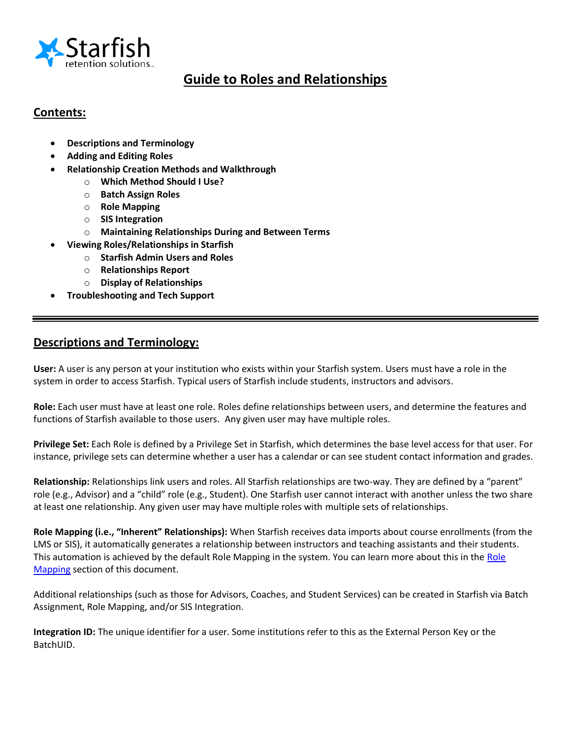

# **Guide to Roles and Relationships**

## **Contents:**

- **Descriptions and Terminology**
- **Adding and Editing Roles**
- **Relationship Creation Methods and Walkthrough**
	- o **Which Method Should I Use?**
	- o **Batch Assign Roles**
	- o **Role Mapping**
	- o **SIS Integration**
	- o **Maintaining Relationships During and Between Terms**
- **Viewing Roles/Relationships in Starfish**
	- o **Starfish Admin Users and Roles**
	- o **Relationships Report**
	- o **Display of Relationships**
- **Troubleshooting and Tech Support**

## **Descriptions and Terminology:**

**User:** A user is any person at your institution who exists within your Starfish system. Users must have a role in the system in order to access Starfish. Typical users of Starfish include students, instructors and advisors.

**Role:** Each user must have at least one role. Roles define relationships between users, and determine the features and functions of Starfish available to those users.Any given user may have multiple roles.

**Privilege Set:** Each Role is defined by a Privilege Set in Starfish, which determines the base level access for that user. For instance, privilege sets can determine whether a user has a calendar or can see student contact information and grades.

**Relationship:** Relationships link users and roles. All Starfish relationships are two-way. They are defined by a "parent" role (e.g., Advisor) and a "child" role (e.g., Student). One Starfish user cannot interact with another unless the two share at least one relationship. Any given user may have multiple roles with multiple sets of relationships.

**Role Mapping (i.e., "Inherent" Relationships):** When Starfish receives data imports about course enrollments (from the LMS or SIS), it automatically generates a relationship between instructors and teaching assistants and their students. This automation is achieved by the default [Role](#page-9-0) Mapping in the system. You can learn more about this in the Role [Mapping](#page-9-0) section of this document.

Additional relationships (such as those for Advisors, Coaches, and Student Services) can be created in Starfish via Batch Assignment, Role Mapping, and/or SIS Integration.

**Integration ID:** The unique identifier for a user. Some institutions refer to this as the External Person Key or the BatchUID.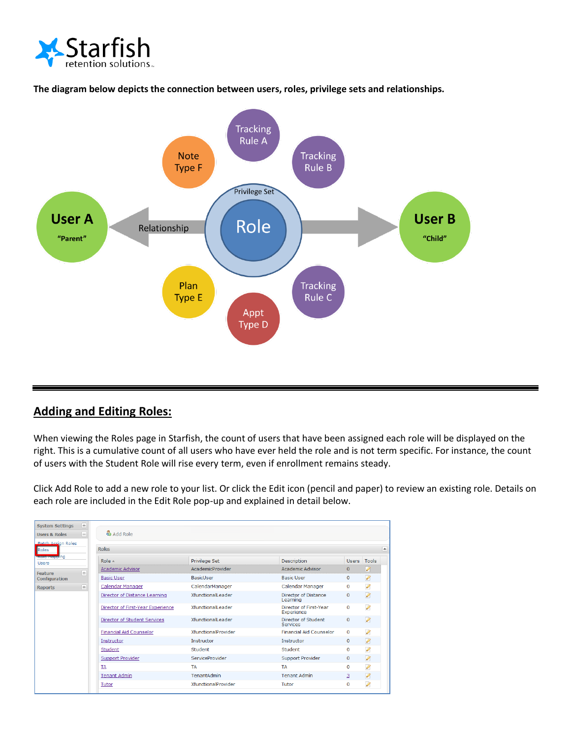





## **Adding and Editing Roles:**

When viewing the Roles page in Starfish, the count of users that have been assigned each role will be displayed on the right. This is a cumulative count of all users who have ever held the role and is not term specific. For instance, the count of users with the Student Role will rise every term, even if enrollment remains steady.

Click Add Role to add a new role to your list. Or click the Edit icon (pencil and paper) to review an existing role. Details on each role are included in the Edit Role pop-up and explained in detail below.

| <b>System Settings</b>               | $+$            | & Add Role                          |                            |                                         |              |                          |
|--------------------------------------|----------------|-------------------------------------|----------------------------|-----------------------------------------|--------------|--------------------------|
| <b>Users &amp; Roles</b>             | $\overline{a}$ |                                     |                            |                                         |              |                          |
| <b>Batch Assign Roles</b><br>Roles   |                | <b>Roles</b>                        |                            |                                         |              |                          |
| <b>Referredulite</b><br><b>Users</b> |                | Role $\triangle$                    | Privilege Set              | Description                             | Users Tools  |                          |
| Feature                              | $+$            | <b>Academic Advisor</b>             | AcademicProvider           | <b>Academic Advisor</b>                 | $\Omega$     | $\overline{\mathscr{O}}$ |
| Configuration                        |                | <b>Basic User</b>                   | <b>BasicUser</b>           | <b>Basic User</b>                       | $\Omega$     | Ø                        |
| <b>Reports</b>                       | $+$            | <b>Calendar Manager</b>             | CalendarManager            | Calendar Manager                        | $\Omega$     | P                        |
|                                      |                | Director of Distance Learning       | XfunctionalLeader          | <b>Director of Distance</b><br>Learning | $\mathbf{0}$ | Ø                        |
|                                      |                | Director of First-Year Experience   | XfunctionalLeader          | Director of First-Year<br>Experience    | $\mathbf{0}$ | P                        |
|                                      |                | <b>Director of Student Services</b> | <b>XfunctionalLeader</b>   | Director of Student<br><b>Services</b>  | $\mathbf 0$  | $\mathscr{D}$            |
|                                      |                | <b>Financial Aid Counselor</b>      | XfunctionalProvider        | <b>Financial Aid Counselor</b>          | $\mathbf 0$  | P                        |
|                                      |                | Instructor                          | Instructor                 | Instructor                              | $\Omega$     | $\mathscr{D}$            |
|                                      |                | Student                             | Student                    | Student                                 | $\Omega$     | $\mathscr{Q}$            |
|                                      |                | <b>Support Provider</b>             | ServiceProvider            | <b>Support Provider</b>                 | $\mathbf{0}$ | $\mathscr{D}$            |
|                                      |                | <b>TA</b>                           | <b>TA</b>                  | <b>TA</b>                               | 0            | P                        |
|                                      |                | <b>Tenant Admin</b>                 | TenantAdmin                | <b>Tenant Admin</b>                     | з            | $\mathscr{D}$            |
|                                      |                | Tutor                               | <b>XfunctionalProvider</b> | Tutor                                   | $\Omega$     | Ø                        |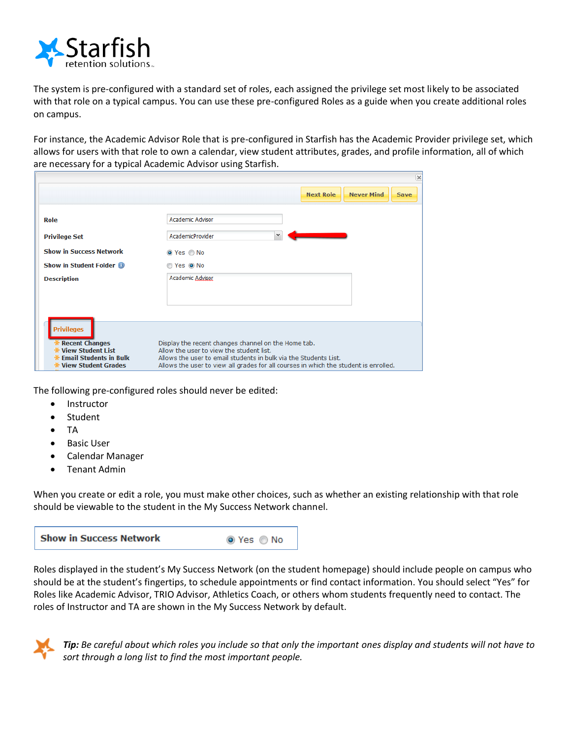

The system is pre-configured with a standard set of roles, each assigned the privilege set most likely to be associated with that role on a typical campus. You can use these pre-configured Roles as a guide when you create additional roles on campus.

For instance, the Academic Advisor Role that is pre-configured in Starfish has the Academic Provider privilege set, which allows for users with that role to own a calendar, view student attributes, grades, and profile information, all of which are necessary for a typical Academic Advisor using Starfish.

|                                                               | $\times$                                                                                                     |  |  |  |
|---------------------------------------------------------------|--------------------------------------------------------------------------------------------------------------|--|--|--|
|                                                               | <b>Never Mind</b><br><b>Next Role</b><br><b>Save</b>                                                         |  |  |  |
| Role                                                          | Academic Advisor                                                                                             |  |  |  |
| <b>Privilege Set</b>                                          | <b>AcademicProvider</b><br>$\checkmark$                                                                      |  |  |  |
| <b>Show in Success Network</b>                                | O Yes O No                                                                                                   |  |  |  |
| Show in Student Folder <sup>1</sup>                           | Yes ONo                                                                                                      |  |  |  |
| <b>Description</b>                                            | Academic Advisor                                                                                             |  |  |  |
|                                                               |                                                                                                              |  |  |  |
|                                                               |                                                                                                              |  |  |  |
| <b>Privileges</b>                                             |                                                                                                              |  |  |  |
| <b>*</b> Recent Changes                                       | Display the recent changes channel on the Home tab.                                                          |  |  |  |
| <b>* View Student List</b><br><b>*</b> Email Students in Bulk | Allow the user to view the student list.<br>Allows the user to email students in bulk via the Students List. |  |  |  |
| <b><math>*</math> View Student Grades</b>                     | Allows the user to view all grades for all courses in which the student is enrolled.                         |  |  |  |

The following pre-configured roles should never be edited:

- Instructor
- Student
- $\bullet$  TA
- Basic User
- Calendar Manager
- Tenant Admin

When you create or edit a role, you must make other choices, such as whether an existing relationship with that role should be viewable to the student in the My Success Network channel.

Roles displayed in the student's My Success Network (on the student homepage) should include people on campus who should be at the student's fingertips, to schedule appointments or find contact information. You should select "Yes" for Roles like Academic Advisor, TRIO Advisor, Athletics Coach, or others whom students frequently need to contact. The roles of Instructor and TA are shown in the My Success Network by default.



*Tip: Be careful about which roles you include so that only the important ones display and students will not have to sort through a long list to find the most important people.*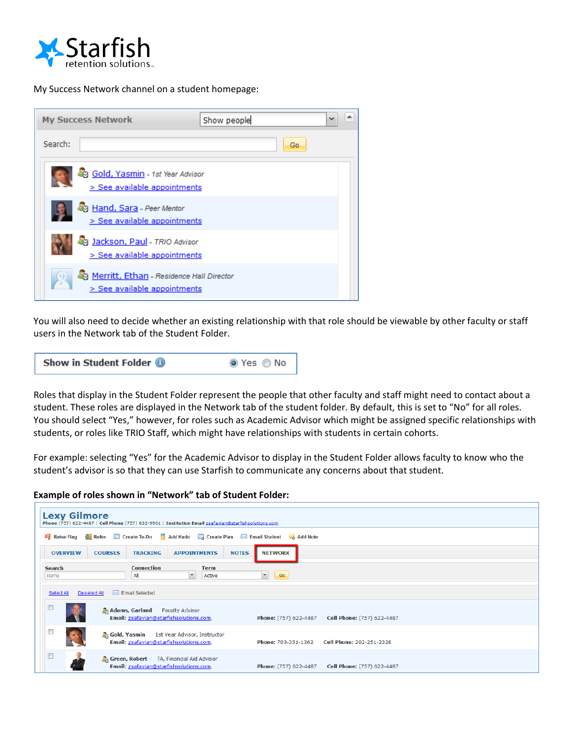

My Success Network channel on a student homepage:



You will also need to decide whether an existing relationship with that role should be viewable by other faculty or staff users in the Network tab of the Student Folder.



Roles that display in the Student Folder represent the people that other faculty and staff might need to contact about a student. These roles are displayed in the Network tab of the student folder. By default, this is set to "No" for all roles. You should select "Yes," however, for roles such as Academic Advisor which might be assigned specific relationships with students, or roles like TRIO Staff, which might have relationships with students in certain cohorts.

For example: selecting "Yes" for the Academic Advisor to display in the Student Folder allows faculty to know who the student's advisor is so that they can use Starfish to communicate any concerns about that student.

#### **Example of roles shown in "Network" tab of Student Folder:**

|                       | <b>Lexy Gilmore</b><br>Phone (757) 622-4487   Cell Phone (757) 632-9901   Institution Email zsafavian@starfishsolutions.com |                                                            |  |  |  |  |
|-----------------------|-----------------------------------------------------------------------------------------------------------------------------|------------------------------------------------------------|--|--|--|--|
|                       | Raise Flag & Refer E Create To-Do & Add Kudo E Create Plan M Email Student & Add Note                                       |                                                            |  |  |  |  |
| <b>OVERVIEW</b>       | <b>TRACKING</b><br><b>APPOINTMENTS</b><br><b>NOTES</b><br><b>NETWORK</b><br><b>COURSES</b>                                  |                                                            |  |  |  |  |
| <b>Search</b><br>Name | <b>Connection</b><br><b>Term</b><br>$\checkmark$<br>$\mathbf v$<br>Go<br>All<br>Active                                      |                                                            |  |  |  |  |
| Select All            | Email Selected<br>Deselect All                                                                                              |                                                            |  |  |  |  |
|                       | <b>Adams, Garland</b><br><b>Faculty Advisor</b><br>Email: zsafavian@starfishsolutions.com,                                  | Cell Phone: (757) 622-4487<br><b>Phone:</b> (757) 622-4487 |  |  |  |  |
|                       | 朵 Gold, Yasmin<br>1st Year Advisor, Instructor<br>Email: zsafavian@starfishsolutions.com,                                   | Cell Phone: 202-251-2328<br><b>Phone: 703-351-1362</b>     |  |  |  |  |
| $\Box$                | Green, Robert TA, Financial Aid Advisor<br>Email: zsafavian@starfishsolutions.com,                                          | <b>Phone:</b> (757) 622-4487<br>Cell Phone: (757) 622-4487 |  |  |  |  |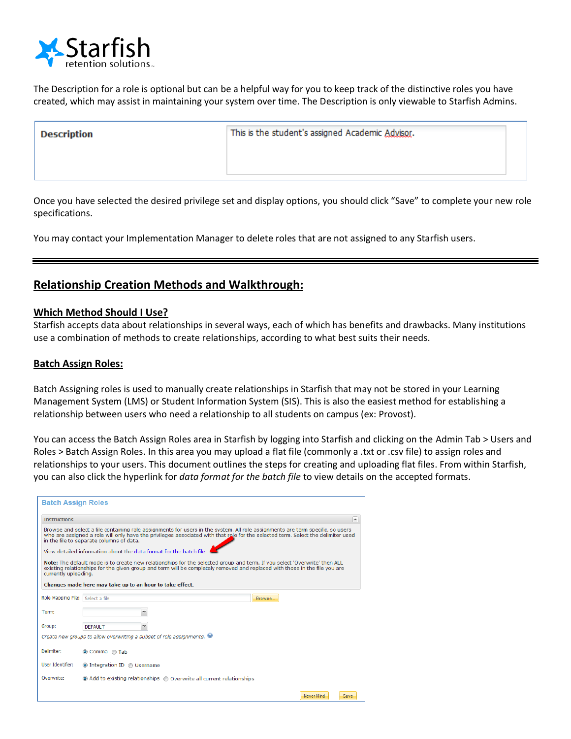

The Description for a role is optional but can be a helpful way for you to keep track of the distinctive roles you have created, which may assist in maintaining your system over time. The Description is only viewable to Starfish Admins.

This is the student's assigned Academic Advisor.

Once you have selected the desired privilege set and display options, you should click "Save" to complete your new role specifications.

You may contact your Implementation Manager to delete roles that are not assigned to any Starfish users.

## **Relationship Creation Methods and Walkthrough:**

### **Which Method Should I Use?**

Starfish accepts data about relationships in several ways, each of which has benefits and drawbacks. Many institutions use a combination of methods to create relationships, according to what best suits their needs.

#### **Batch Assign Roles:**

Batch Assigning roles is used to manually create relationships in Starfish that may not be stored in your Learning Management System (LMS) or Student Information System (SIS). This is also the easiest method for establishing a relationship between users who need a relationship to all students on campus (ex: Provost).

You can access the Batch Assign Roles area in Starfish by logging into Starfish and clicking on the Admin Tab > Users and Roles > Batch Assign Roles. In this area you may upload a flat file (commonly a .txt or .csv file) to assign roles and relationships to your users. This document outlines the steps for creating and uploading flat files. From within Starfish, you can also click the hyperlink for *data format for the batch file* to view details on the accepted formats.

| <b>Batch Assign Roles</b>                                                                                                                                                                                                                                                                                      |                                                                                                                                                                                                                                                                                 |  |  |  |  |  |
|----------------------------------------------------------------------------------------------------------------------------------------------------------------------------------------------------------------------------------------------------------------------------------------------------------------|---------------------------------------------------------------------------------------------------------------------------------------------------------------------------------------------------------------------------------------------------------------------------------|--|--|--|--|--|
| <b>Instructions</b><br>$\blacktriangle$                                                                                                                                                                                                                                                                        |                                                                                                                                                                                                                                                                                 |  |  |  |  |  |
| Browse and select a file containing role assignments for users in the system. All role assignments are term specific, so users<br>who are assigned a role will only have the privileges associated with that role for the selected term. Select the delimiter used<br>in the file to separate columns of data. |                                                                                                                                                                                                                                                                                 |  |  |  |  |  |
|                                                                                                                                                                                                                                                                                                                | View detailed information about the data format for the batch file                                                                                                                                                                                                              |  |  |  |  |  |
|                                                                                                                                                                                                                                                                                                                | Note: The default mode is to create new relationships for the selected group and term. If you select 'Overwrite' then ALL<br>existing relationships for the given group and term will be completely removed and replaced with those in the file you are<br>currently uploading. |  |  |  |  |  |
|                                                                                                                                                                                                                                                                                                                | Changes made here may take up to an hour to take effect.                                                                                                                                                                                                                        |  |  |  |  |  |
| Role Mapping File:                                                                                                                                                                                                                                                                                             | Select a file<br><b>Browse</b>                                                                                                                                                                                                                                                  |  |  |  |  |  |
| Term:                                                                                                                                                                                                                                                                                                          | v                                                                                                                                                                                                                                                                               |  |  |  |  |  |
| Group:                                                                                                                                                                                                                                                                                                         | v<br><b>DEFAULT</b>                                                                                                                                                                                                                                                             |  |  |  |  |  |
|                                                                                                                                                                                                                                                                                                                | Create new groups to allow overwriting a subset of role assignments.                                                                                                                                                                                                            |  |  |  |  |  |
| Delimiter:                                                                                                                                                                                                                                                                                                     | Comma nab                                                                                                                                                                                                                                                                       |  |  |  |  |  |
| <b>User Identifier:</b>                                                                                                                                                                                                                                                                                        | O Integration ID O Username                                                                                                                                                                                                                                                     |  |  |  |  |  |
| Overwrite:                                                                                                                                                                                                                                                                                                     | • Add to existing relationships • Overwrite all current relationships                                                                                                                                                                                                           |  |  |  |  |  |
|                                                                                                                                                                                                                                                                                                                | Never Mind<br>Save                                                                                                                                                                                                                                                              |  |  |  |  |  |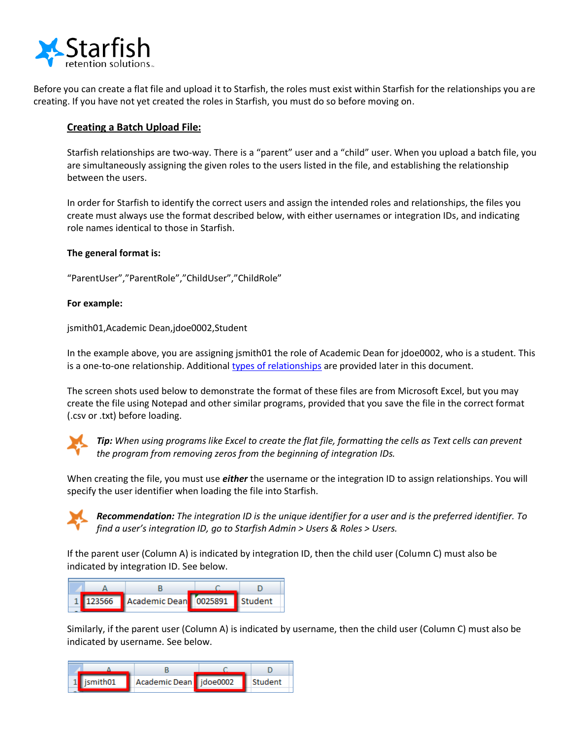

Before you can create a flat file and upload it to Starfish, the roles must exist within Starfish for the relationships you are creating. If you have not yet created the roles in Starfish, you must do so before moving on.

### **Creating a Batch Upload File:**

Starfish relationships are two-way. There is a "parent" user and a "child" user. When you upload a batch file, you are simultaneously assigning the given roles to the users listed in the file, and establishing the relationship between the users.

In order for Starfish to identify the correct users and assign the intended roles and relationships, the files you create must always use the format described below, with either usernames or integration IDs, and indicating role names identical to those in Starfish.

#### **The general format is:**

"ParentUser","ParentRole","ChildUser","ChildRole"

#### **For example:**

jsmith01,Academic Dean,jdoe0002,Student

In the example above, you are assigning jsmith01 the role of Academic Dean for jdoe0002, who is a student. This is a one-to-one relationship. Additional [types of relationships](#page-6-0) are provided later in this document.

The screen shots used below to demonstrate the format of these files are from Microsoft Excel, but you may create the file using Notepad and other similar programs, provided that you save the file in the correct format (.csv or .txt) before loading.



*Tip: When using programs like Excel to create the flat file, formatting the cells as Text cells can prevent the program from removing zeros from the beginning of integration IDs.* 

When creating the file, you must use *either* the username or the integration ID to assign relationships. You will specify the user identifier when loading the file into Starfish.



*Recommendation: The integration ID is the unique identifier for a user and is the preferred identifier. To find a user's integration ID, go to Starfish Admin > Users & Roles > Users.* 

If the parent user (Column A) is indicated by integration ID, then the child user (Column C) must also be indicated by integration ID. See below.

|  | 1 123566 Academic Dean 0025891 Student |  |
|--|----------------------------------------|--|

Similarly, if the parent user (Column A) is indicated by username, then the child user (Column C) must also be indicated by username. See below.

|  | 1   ismith01   Academic Dean   idoe0002   Student |  |  |
|--|---------------------------------------------------|--|--|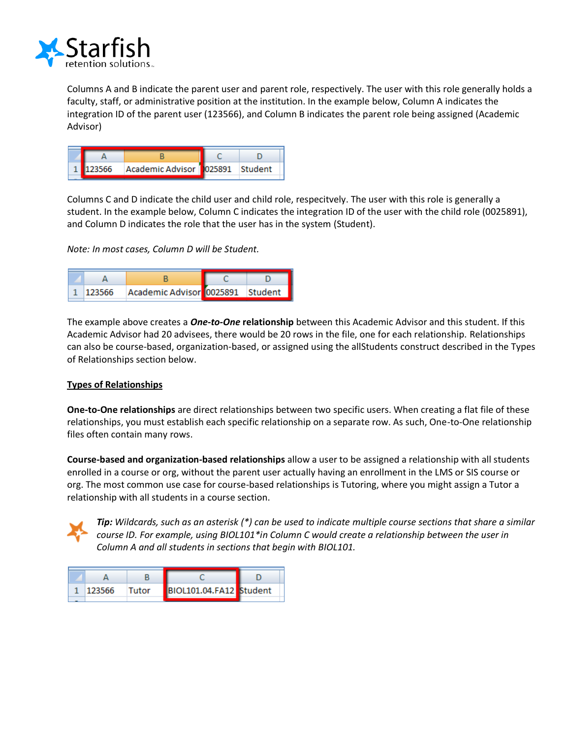

Columns A and B indicate the parent user and parent role, respectively. The user with this role generally holds a faculty, staff, or administrative position at the institution. In the example below, Column A indicates the integration ID of the parent user (123566), and Column B indicates the parent role being assigned (Academic Advisor)



Columns C and D indicate the child user and child role, respecitvely. The user with this role is generally a student. In the example below, Column C indicates the integration ID of the user with the child role (0025891), and Column D indicates the role that the user has in the system (Student).

*Note: In most cases, Column D will be Student.*

| 123566 | Academic Advisor 0025891 Student |  |
|--------|----------------------------------|--|

The example above creates a *One-to-One* **relationship** between this Academic Advisor and this student. If this Academic Advisor had 20 advisees, there would be 20 rows in the file, one for each relationship. Relationships can also be course-based, organization-based, or assigned using the allStudents construct described in the Types of Relationships section below.

### <span id="page-6-0"></span>**Types of Relationships**

**One-to-One relationships** are direct relationships between two specific users. When creating a flat file of these relationships, you must establish each specific relationship on a separate row. As such, One-to-One relationship files often contain many rows.

**Course-based and organization-based relationships** allow a user to be assigned a relationship with all students enrolled in a course or org, without the parent user actually having an enrollment in the LMS or SIS course or org. The most common use case for course-based relationships is Tutoring, where you might assign a Tutor a relationship with all students in a course section.



*Tip: Wildcards, such as an asterisk (\*) can be used to indicate multiple course sections that share a similar course ID. For example, using BIOL101\*in Column C would create a relationship between the user in Column A and all students in sections that begin with BIOL101.*

| 123566 | Tutor | BIOL101.04.FA12 Student |  |
|--------|-------|-------------------------|--|
|        |       |                         |  |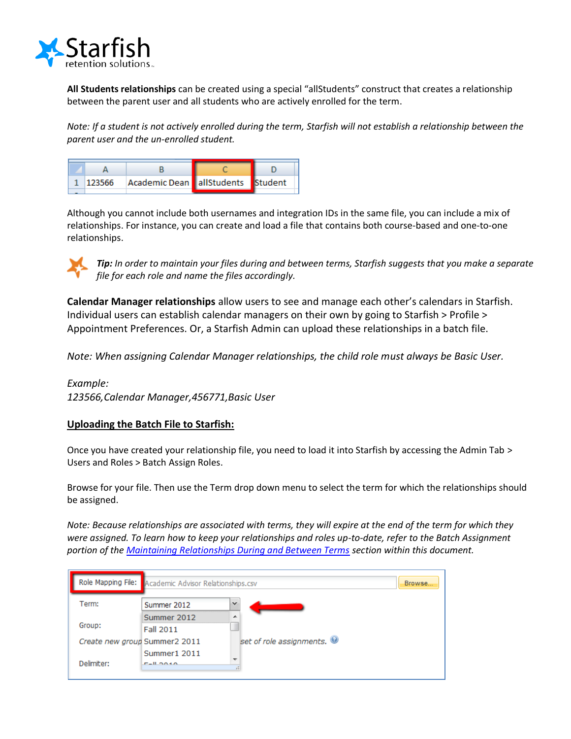

**All Students relationships** can be created using a special "allStudents" construct that creates a relationship between the parent user and all students who are actively enrolled for the term.

*Note: If a student is not actively enrolled during the term, Starfish will not establish a relationship between the parent user and the un-enrolled student.*



Although you cannot include both usernames and integration IDs in the same file, you can include a mix of relationships. For instance, you can create and load a file that contains both course-based and one-to-one relationships.



*Tip: In order to maintain your files during and between terms, Starfish suggests that you make a separate file for each role and name the files accordingly.* 

**Calendar Manager relationships** allow users to see and manage each other's calendars in Starfish. Individual users can establish calendar managers on their own by going to Starfish > Profile > Appointment Preferences. Or, a Starfish Admin can upload these relationships in a batch file.

*Note: When assigning Calendar Manager relationships, the child role must always be Basic User.*

*Example:*

*123566,Calendar Manager,456771,Basic User*

### **Uploading the Batch File to Starfish:**

Once you have created your relationship file, you need to load it into Starfish by accessing the Admin Tab > Users and Roles > Batch Assign Roles.

Browse for your file. Then use the Term drop down menu to select the term for which the relationships should be assigned.

*Note: Because relationships are associated with terms, they will expire at the end of the term for which they were assigned. To learn how to keep your relationships and roles up-to-date, refer to the Batch Assignment portion of th[e Maintaining Relationships During and Between Terms](#page-11-0) section within this document.* 

|                               | Role Mapping File: Academic Advisor Relationships.csv<br><b>Browse</b> |                          |  |
|-------------------------------|------------------------------------------------------------------------|--------------------------|--|
| Term:                         | Summer 2012                                                            | $\checkmark$             |  |
| Group:                        | Summer 2012<br><b>Fall 2011</b>                                        | ∸                        |  |
| Create new group Summer2 2011 |                                                                        | set of role assignments. |  |
| Delimiter:                    | Summer1 2011<br><b>CALOGAN</b>                                         | or to 1                  |  |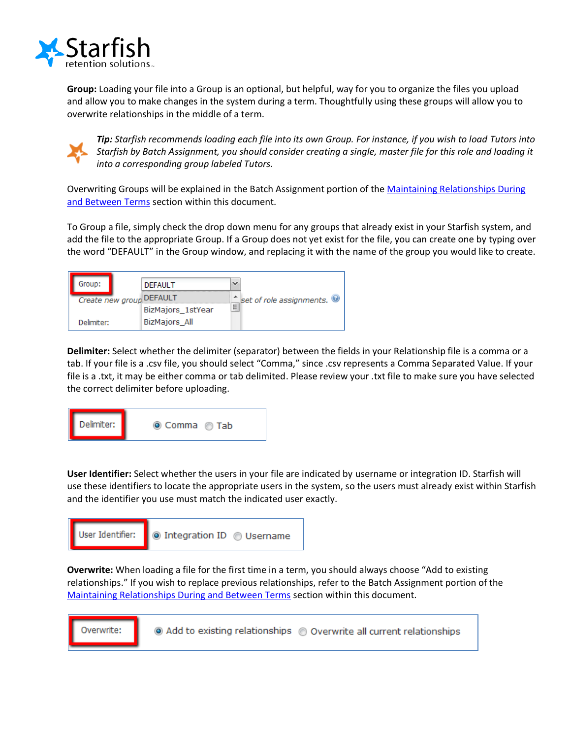

**Group:** Loading your file into a Group is an optional, but helpful, way for you to organize the files you upload and allow you to make changes in the system during a term. Thoughtfully using these groups will allow you to overwrite relationships in the middle of a term.



*Tip: Starfish recommends loading each file into its own Group. For instance, if you wish to load Tutors into Starfish by Batch Assignment, you should consider creating a single, master file for this role and loading it into a corresponding group labeled Tutors.* 

Overwriting Groups will be explained in the Batch Assignment portion of the Maintaining Relationships During [and Between Terms](#page-11-0) section within this document.

To Group a file, simply check the drop down menu for any groups that already exist in your Starfish system, and add the file to the appropriate Group. If a Group does not yet exist for the file, you can create one by typing over the word "DEFAULT" in the Group window, and replacing it with the name of the group you would like to create.

| Group:     |  | <b>DEFAULT</b>           |   |                          |
|------------|--|--------------------------|---|--------------------------|
|            |  | Create new group DEFAULT |   | set of role assignments. |
|            |  | BizMajors_1stYear        | Ξ |                          |
| Delimiter: |  | <b>BizMajors All</b>     |   |                          |

**Delimiter:** Select whether the delimiter (separator) between the fields in your Relationship file is a comma or a tab. If your file is a .csv file, you should select "Comma," since .csv represents a Comma Separated Value. If your file is a .txt, it may be either comma or tab delimited. Please review your .txt file to make sure you have selected the correct delimiter before uploading.



**User Identifier:** Select whether the users in your file are indicated by username or integration ID. Starfish will use these identifiers to locate the appropriate users in the system, so the users must already exist within Starfish and the identifier you use must match the indicated user exactly.



**Overwrite:** When loading a file for the first time in a term, you should always choose "Add to existing relationships." If you wish to replace previous relationships, refer to the Batch Assignment portion of the Maintaining [Relationships During and Between Terms](#page-11-0) section within this document.

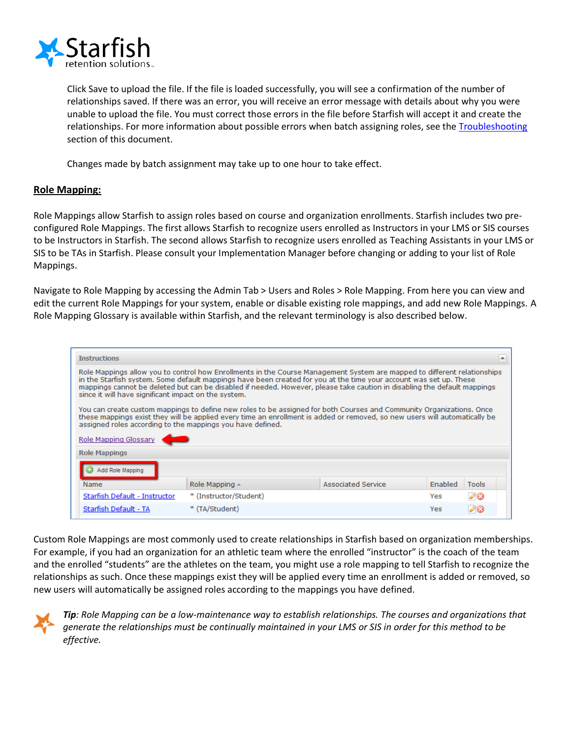

Click Save to upload the file. If the file is loaded successfully, you will see a confirmation of the number of relationships saved. If there was an error, you will receive an error message with details about why you were unable to upload the file. You must correct those errors in the file before Starfish will accept it and create the relationships. For more information about possible errors when batch assigning roles, see the [Troubleshooting](#page-6-0) section of this document.

Changes made by batch assignment may take up to one hour to take effect.

### <span id="page-9-0"></span>**Role Mapping:**

Role Mappings allow Starfish to assign roles based on course and organization enrollments. Starfish includes two preconfigured Role Mappings. The first allows Starfish to recognize users enrolled as Instructors in your LMS or SIS courses to be Instructors in Starfish. The second allows Starfish to recognize users enrolled as Teaching Assistants in your LMS or SIS to be TAs in Starfish. Please consult your Implementation Manager before changing or adding to your list of Role Mappings.

Navigate to Role Mapping by accessing the Admin Tab > Users and Roles > Role Mapping. From here you can view and edit the current Role Mappings for your system, enable or disable existing role mappings, and add new Role Mappings. A Role Mapping Glossary is available within Starfish, and the relevant terminology is also described below.

| <b>Instructions</b>                                                                                                                                                                                                                                                                                                                                                                                                                |                                                                                  |  |     | ۸  |  |  |  |  |
|------------------------------------------------------------------------------------------------------------------------------------------------------------------------------------------------------------------------------------------------------------------------------------------------------------------------------------------------------------------------------------------------------------------------------------|----------------------------------------------------------------------------------|--|-----|----|--|--|--|--|
| Role Mappings allow you to control how Enrollments in the Course Management System are mapped to different relationships<br>in the Starfish system. Some default mappings have been created for you at the time your account was set up. These<br>mappings cannot be deleted but can be disabled if needed. However, please take caution in disabling the default mappings<br>since it will have significant impact on the system. |                                                                                  |  |     |    |  |  |  |  |
| You can create custom mappings to define new roles to be assigned for both Courses and Community Organizations. Once<br>these mappings exist they will be applied every time an enrollment is added or removed, so new users will automatically be<br>assigned roles according to the mappings you have defined.                                                                                                                   |                                                                                  |  |     |    |  |  |  |  |
| <b>Role Mapping Glossary</b>                                                                                                                                                                                                                                                                                                                                                                                                       |                                                                                  |  |     |    |  |  |  |  |
| <b>Role Mappings</b>                                                                                                                                                                                                                                                                                                                                                                                                               |                                                                                  |  |     |    |  |  |  |  |
| Add Role Mapping                                                                                                                                                                                                                                                                                                                                                                                                                   |                                                                                  |  |     |    |  |  |  |  |
| Name.                                                                                                                                                                                                                                                                                                                                                                                                                              | <b>Associated Service</b><br>Enabled<br>Role Mapping $\triangle$<br><b>Tools</b> |  |     |    |  |  |  |  |
| Starfish Default - Instructor                                                                                                                                                                                                                                                                                                                                                                                                      | * (Instructor/Student)                                                           |  | Yes | 00 |  |  |  |  |
| Starfish Default - TA                                                                                                                                                                                                                                                                                                                                                                                                              | * (TA/Student)<br>Yes                                                            |  |     |    |  |  |  |  |
|                                                                                                                                                                                                                                                                                                                                                                                                                                    |                                                                                  |  |     |    |  |  |  |  |

Custom Role Mappings are most commonly used to create relationships in Starfish based on organization memberships. For example, if you had an organization for an athletic team where the enrolled "instructor" is the coach of the team and the enrolled "students" are the athletes on the team, you might use a role mapping to tell Starfish to recognize the relationships as such. Once these mappings exist they will be applied every time an enrollment is added or removed, so new users will automatically be assigned roles according to the mappings you have defined.



*Tip: Role Mapping can be a low-maintenance way to establish relationships. The courses and organizations that generate the relationships must be continually maintained in your LMS or SIS in order for this method to be effective.*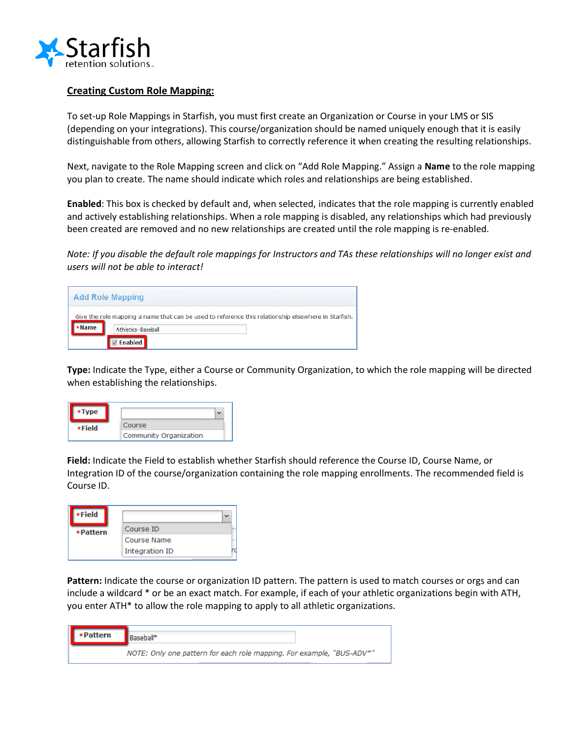

### **Creating Custom Role Mapping:**

To set-up Role Mappings in Starfish, you must first create an Organization or Course in your LMS or SIS (depending on your integrations). This course/organization should be named uniquely enough that it is easily distinguishable from others, allowing Starfish to correctly reference it when creating the resulting relationships.

Next, navigate to the Role Mapping screen and click on "Add Role Mapping." Assign a **Name** to the role mapping you plan to create. The name should indicate which roles and relationships are being established.

**Enabled**: This box is checked by default and, when selected, indicates that the role mapping is currently enabled and actively establishing relationships. When a role mapping is disabled, any relationships which had previously been created are removed and no new relationships are created until the role mapping is re-enabled.

*Note: If you disable the default role mappings for Instructors and TAs these relationships will no longer exist and users will not be able to interact!*

| <b>Add Role Mapping</b>                                                                             |
|-----------------------------------------------------------------------------------------------------|
| Give the role mapping a name that can be used to reference this relationship elsewhere in Starfish. |
| Athletics--Baseball                                                                                 |

**Type:** Indicate the Type, either a Course or Community Organization, to which the role mapping will be directed when establishing the relationships.

| пe.    |                        |
|--------|------------------------|
| ∗Field | Course                 |
|        | Community Organization |

**Field:** Indicate the Field to establish whether Starfish should reference the Course ID, Course Name, or Integration ID of the course/organization containing the role mapping enrollments. The recommended field is Course ID.

| Course ID      |
|----------------|
| Course Name    |
| Integration ID |
|                |

**Pattern:** Indicate the course or organization ID pattern. The pattern is used to match courses or orgs and can include a wildcard \* or be an exact match. For example, if each of your athletic organizations begin with ATH, you enter ATH\* to allow the role mapping to apply to all athletic organizations.

| *Pattern | Baseball*                                                             |
|----------|-----------------------------------------------------------------------|
|          | NOTE: Only one pattern for each role mapping. For example, "BUS-ADV*" |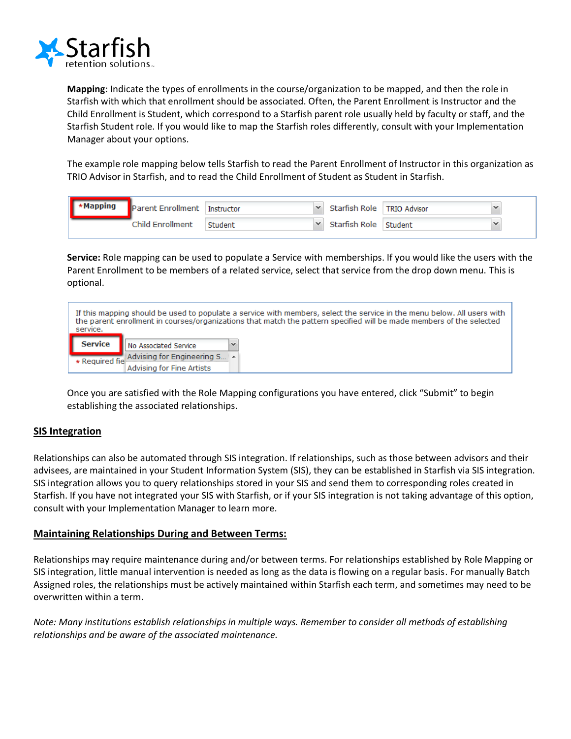

**Mapping**: Indicate the types of enrollments in the course/organization to be mapped, and then the role in Starfish with which that enrollment should be associated. Often, the Parent Enrollment is Instructor and the Child Enrollment is Student, which correspond to a Starfish parent role usually held by faculty or staff, and the Starfish Student role. If you would like to map the Starfish roles differently, consult with your Implementation Manager about your options.

The example role mapping below tells Starfish to read the Parent Enrollment of Instructor in this organization as TRIO Advisor in Starfish, and to read the Child Enrollment of Student as Student in Starfish.

| <b>Mapping</b> | Parent Enrollment Instructor |         | Starfish Role   TRIO Advisor |  |
|----------------|------------------------------|---------|------------------------------|--|
|                | Child Enrollment             | Student | Starfish Role Student        |  |

**Service:** Role mapping can be used to populate a Service with memberships. If you would like the users with the Parent Enrollment to be members of a related service, select that service from the drop down menu. This is optional.

| service. | If this mapping should be used to populate a service with members, select the service in the menu below. All users with<br>the parent enrollment in courses/organizations that match the pattern specified will be made members of the selected |  |  |  |  |
|----------|-------------------------------------------------------------------------------------------------------------------------------------------------------------------------------------------------------------------------------------------------|--|--|--|--|
| Service  | No Associated Service                                                                                                                                                                                                                           |  |  |  |  |
|          | * Required fie Advising for Engineering S                                                                                                                                                                                                       |  |  |  |  |
|          | Advising for Fine Artists                                                                                                                                                                                                                       |  |  |  |  |

Once you are satisfied with the Role Mapping configurations you have entered, click "Submit" to begin establishing the associated relationships.

### **SIS Integration**

Relationships can also be automated through SIS integration. If relationships, such as those between advisors and their advisees, are maintained in your Student Information System (SIS), they can be established in Starfish via SIS integration. SIS integration allows you to query relationships stored in your SIS and send them to corresponding roles created in Starfish. If you have not integrated your SIS with Starfish, or if your SIS integration is not taking advantage of this option, consult with your Implementation Manager to learn more.

### <span id="page-11-0"></span>**Maintaining Relationships During and Between Terms:**

Relationships may require maintenance during and/or between terms. For relationships established by Role Mapping or SIS integration, little manual intervention is needed as long as the data is flowing on a regular basis. For manually Batch Assigned roles, the relationships must be actively maintained within Starfish each term, and sometimes may need to be overwritten within a term.

*Note: Many institutions establish relationships in multiple ways. Remember to consider all methods of establishing relationships and be aware of the associated maintenance.*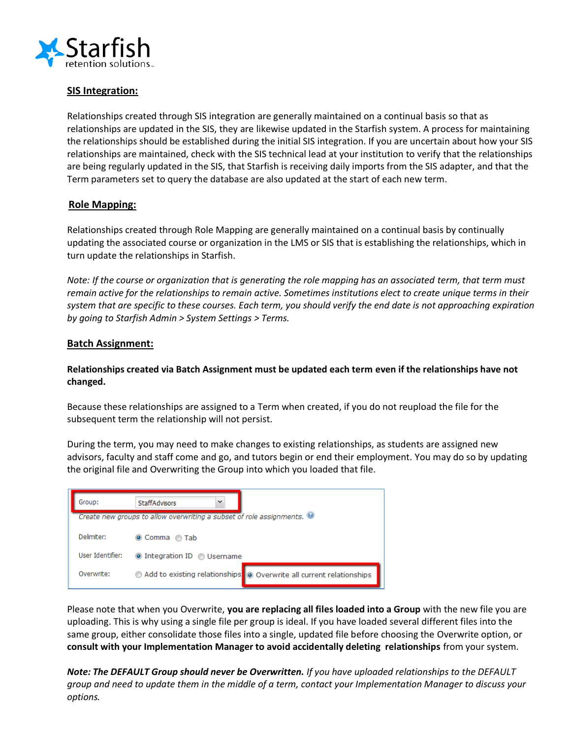

### **SIS Integration:**

Relationships created through SIS integration are generally maintained on a continual basis so that as relationships are updated in the SIS, they are likewise updated in the Starfish system. A process for maintaining the relationships should be established during the initial SIS integration. If you are uncertain about how your SIS relationships are maintained, check with the SIS technical lead at your institution to verify that the relationships are being regularly updated in the SIS, that Starfish is receiving daily imports from the SIS adapter, and that the Term parameters set to query the database are also updated at the start of each new term.

### **Role Mapping:**

Relationships created through Role Mapping are generally maintained on a continual basis by continually updating the associated course or organization in the LMS or SIS that is establishing the relationships, which in turn update the relationships in Starfish.

*Note: If the course or organization that is generating the role mapping has an associated term, that term must remain active for the relationships to remain active. Sometimes institutions elect to create unique terms in their system that are specific to these courses. Each term, you should verify the end date is not approaching expiration by going to Starfish Admin > System Settings > Terms.*

### **Batch Assignment:**

### **Relationships created via Batch Assignment must be updated each term even if the relationships have not changed.**

Because these relationships are assigned to a Term when created, if you do not reupload the file for the subsequent term the relationship will not persist.

During the term, you may need to make changes to existing relationships, as students are assigned new advisors, faculty and staff come and go, and tutors begin or end their employment. You may do so by updating the original file and Overwriting the Group into which you loaded that file.



Please note that when you Overwrite, **you are replacing all files loaded into a Group** with the new file you are uploading. This is why using a single file per group is ideal. If you have loaded several different files into the same group, either consolidate those files into a single, updated file before choosing the Overwrite option, or **consult with your Implementation Manager to avoid accidentally deleting relationships** from your system.

*Note: The DEFAULT Group should never be Overwritten. If you have uploaded relationships to the DEFAULT group and need to update them in the middle of a term, contact your Implementation Manager to discuss your options.*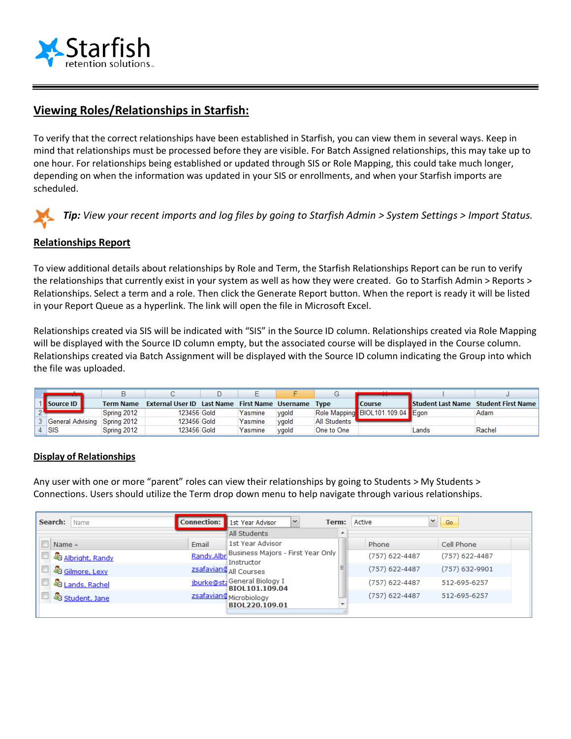

## **Viewing Roles/Relationships in Starfish:**

To verify that the correct relationships have been established in Starfish, you can view them in several ways. Keep in mind that relationships must be processed before they are visible. For Batch Assigned relationships, this may take up to one hour. For relationships being established or updated through SIS or Role Mapping, this could take much longer, depending on when the information was updated in your SIS or enrollments, and when your Starfish imports are scheduled.

*Tip: View your recent imports and log files by going to Starfish Admin > System Settings > Import Status.*

### **Relationships Report**

To view additional details about relationships by Role and Term, the Starfish Relationships Report can be run to verify the relationships that currently exist in your system as well as how they were created. Go to Starfish Admin > Reports > Relationships. Select a term and a role. Then click the Generate Report button. When the report is ready it will be listed in your Report Queue as a hyperlink. The link will open the file in Microsoft Excel.

Relationships created via SIS will be indicated with "SIS" in the Source ID column. Relationships created via Role Mapping will be displayed with the Source ID column empty, but the associated course will be displayed in the Course column. Relationships created via Batch Assignment will be displayed with the Source ID column indicating the Group into which the file was uploaded.

| Source ID                    | <b>Term Name</b> | <b>External User ID Last Name First Name Username Type</b> |         |       |                     | <b>Course</b>                    |       | Student Last Name Student First Name |
|------------------------------|------------------|------------------------------------------------------------|---------|-------|---------------------|----------------------------------|-------|--------------------------------------|
|                              | Spring 2012      | 123456 Gold                                                | Yasmine | vaold |                     | Role Mapping BIOL101.109.04 Eqon |       | Adam                                 |
| General Advising Spring 2012 |                  | 123456 Gold                                                | Yasmine | vgold | <b>All Students</b> |                                  |       |                                      |
| ↓ ISIS                       | Sprina 2012      | 123456 Gold                                                | Yasmine | vaold | One to One          |                                  | Lands | Rachel                               |

### **Display of Relationships**

Any user with one or more "parent" roles can view their relationships by going to Students > My Students > Connections. Users should utilize the Term drop down menu to help navigate through various relationships.

| Search:<br>  Name                | <b>Connection:</b> | 1st Year Advisor<br>$\mathcal{L}$                          | Term:                    | $\checkmark$<br>Go.<br>Active      |
|----------------------------------|--------------------|------------------------------------------------------------|--------------------------|------------------------------------|
|                                  |                    | All Students                                               | ▲                        |                                    |
| $Name \triangle$                 | Email              | 1st Year Advisor                                           |                          | Cell Phone<br>Phone                |
| A <mark>G</mark> Albright, Randy |                    | Randy.Albr Business Majors - First Year Only<br>Instructor |                          | (757) 622-4487<br>$(757)$ 622-4487 |
| Gilmore, Lexy                    |                    | zsafavian@ All Courses                                     |                          | (757) 622-4487<br>$(757)$ 632-9901 |
| & Lands, Rachel                  |                    | jburke@st; General Biology I<br>BIOL101.109.04             |                          | $(757)$ 622-4487<br>512-695-6257   |
| Student, Jane                    |                    | zsafavian@Microbiology                                     |                          | (757) 622-4487<br>512-695-6257     |
|                                  |                    | BIOL220.109.01                                             | $\overline{\phantom{a}}$ |                                    |